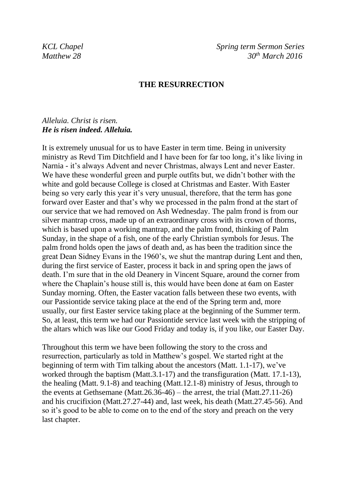*KCL Chapel Spring term Sermon Series Matthew 28 30th March 2016*

## **THE RESURRECTION**

## *Alleluia. Christ is risen. He is risen indeed. Alleluia.*

It is extremely unusual for us to have Easter in term time. Being in university ministry as Revd Tim Ditchfield and I have been for far too long, it's like living in Narnia - it's always Advent and never Christmas, always Lent and never Easter. We have these wonderful green and purple outfits but, we didn't bother with the white and gold because College is closed at Christmas and Easter. With Easter being so very early this year it's very unusual, therefore, that the term has gone forward over Easter and that's why we processed in the palm frond at the start of our service that we had removed on Ash Wednesday. The palm frond is from our silver mantrap cross, made up of an extraordinary cross with its crown of thorns, which is based upon a working mantrap, and the palm frond, thinking of Palm Sunday, in the shape of a fish, one of the early Christian symbols for Jesus. The palm frond holds open the jaws of death and, as has been the tradition since the great Dean Sidney Evans in the 1960's, we shut the mantrap during Lent and then, during the first service of Easter, process it back in and spring open the jaws of death. I'm sure that in the old Deanery in Vincent Square, around the corner from where the Chaplain's house still is, this would have been done at 6am on Easter Sunday morning. Often, the Easter vacation falls between these two events, with our Passiontide service taking place at the end of the Spring term and, more usually, our first Easter service taking place at the beginning of the Summer term. So, at least, this term we had our Passiontide service last week with the stripping of the altars which was like our Good Friday and today is, if you like, our Easter Day.

Throughout this term we have been following the story to the cross and resurrection, particularly as told in Matthew's gospel. We started right at the beginning of term with Tim talking about the ancestors (Matt. 1.1-17), we've worked through the baptism (Matt.3.1-17) and the transfiguration (Matt. 17.1-13), the healing (Matt. 9.1-8) and teaching (Matt.12.1-8) ministry of Jesus, through to the events at Gethsemane (Matt.26.36-46) – the arrest, the trial (Matt.27.11-26) and his crucifixion (Matt.27.27-44) and, last week, his death (Matt.27.45-56). And so it's good to be able to come on to the end of the story and preach on the very last chapter.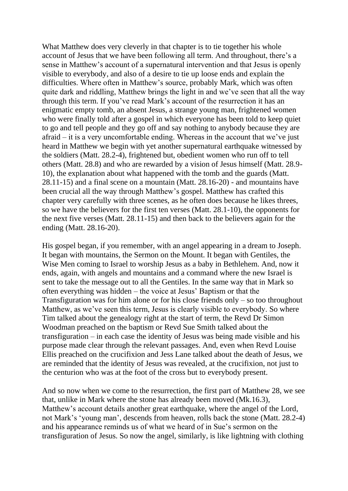What Matthew does very cleverly in that chapter is to tie together his whole account of Jesus that we have been following all term. And throughout, there's a sense in Matthew's account of a supernatural intervention and that Jesus is openly visible to everybody, and also of a desire to tie up loose ends and explain the difficulties. Where often in Matthew's source, probably Mark, which was often quite dark and riddling, Matthew brings the light in and we've seen that all the way through this term. If you've read Mark's account of the resurrection it has an enigmatic empty tomb, an absent Jesus, a strange young man, frightened women who were finally told after a gospel in which everyone has been told to keep quiet to go and tell people and they go off and say nothing to anybody because they are afraid – it is a very uncomfortable ending. Whereas in the account that we've just heard in Matthew we begin with yet another supernatural earthquake witnessed by the soldiers (Matt. 28.2-4), frightened but, obedient women who run off to tell others (Matt. 28.8) and who are rewarded by a vision of Jesus himself (Matt. 28.9- 10), the explanation about what happened with the tomb and the guards (Matt. 28.11-15) and a final scene on a mountain (Matt. 28.16-20) - and mountains have been crucial all the way through Matthew's gospel. Matthew has crafted this chapter very carefully with three scenes, as he often does because he likes threes, so we have the believers for the first ten verses (Matt. 28.1-10), the opponents for the next five verses (Matt. 28.11-15) and then back to the believers again for the ending (Matt. 28.16-20).

His gospel began, if you remember, with an angel appearing in a dream to Joseph. It began with mountains, the Sermon on the Mount. It began with Gentiles, the Wise Men coming to Israel to worship Jesus as a baby in Bethlehem. And, now it ends, again, with angels and mountains and a command where the new Israel is sent to take the message out to all the Gentiles. In the same way that in Mark so often everything was hidden – the voice at Jesus' Baptism or that the Transfiguration was for him alone or for his close friends only – so too throughout Matthew, as we've seen this term, Jesus is clearly visible to everybody. So where Tim talked about the genealogy right at the start of term, the Revd Dr Simon Woodman preached on the baptism or Revd Sue Smith talked about the transfiguration – in each case the identity of Jesus was being made visible and his purpose made clear through the relevant passages. And, even when Revd Louise Ellis preached on the crucifixion and Jess Lane talked about the death of Jesus, we are reminded that the identity of Jesus was revealed, at the crucifixion, not just to the centurion who was at the foot of the cross but to everybody present.

And so now when we come to the resurrection, the first part of Matthew 28, we see that, unlike in Mark where the stone has already been moved (Mk.16.3), Matthew's account details another great earthquake, where the angel of the Lord, not Mark's 'young man', descends from heaven, rolls back the stone (Matt. 28.2-4) and his appearance reminds us of what we heard of in Sue's sermon on the transfiguration of Jesus. So now the angel, similarly, is like lightning with clothing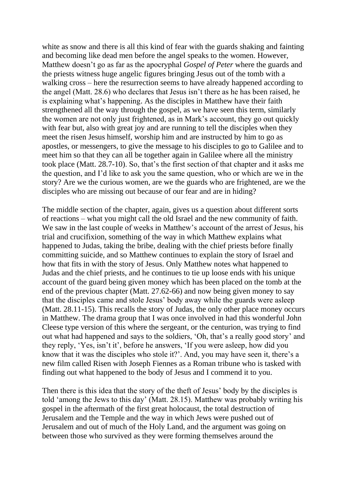white as snow and there is all this kind of fear with the guards shaking and fainting and becoming like dead men before the angel speaks to the women. However, Matthew doesn't go as far as the apocryphal *Gospel of Peter* where the guards and the priests witness huge angelic figures bringing Jesus out of the tomb with a walking cross – here the resurrection seems to have already happened according to the angel (Matt. 28.6) who declares that Jesus isn't there as he has been raised, he is explaining what's happening. As the disciples in Matthew have their faith strengthened all the way through the gospel, as we have seen this term, similarly the women are not only just frightened, as in Mark's account, they go out quickly with fear but, also with great joy and are running to tell the disciples when they meet the risen Jesus himself, worship him and are instructed by him to go as apostles, or messengers, to give the message to his disciples to go to Galilee and to meet him so that they can all be together again in Galilee where all the ministry took place (Matt. 28.7-10). So, that's the first section of that chapter and it asks me the question, and I'd like to ask you the same question, who or which are we in the story? Are we the curious women, are we the guards who are frightened, are we the disciples who are missing out because of our fear and are in hiding?

The middle section of the chapter, again, gives us a question about different sorts of reactions – what you might call the old Israel and the new community of faith. We saw in the last couple of weeks in Matthew's account of the arrest of Jesus, his trial and crucifixion, something of the way in which Matthew explains what happened to Judas, taking the bribe, dealing with the chief priests before finally committing suicide, and so Matthew continues to explain the story of Israel and how that fits in with the story of Jesus. Only Matthew notes what happened to Judas and the chief priests, and he continues to tie up loose ends with his unique account of the guard being given money which has been placed on the tomb at the end of the previous chapter (Matt. 27.62-66) and now being given money to say that the disciples came and stole Jesus' body away while the guards were asleep (Matt. 28.11-15). This recalls the story of Judas, the only other place money occurs in Matthew. The drama group that I was once involved in had this wonderful John Cleese type version of this where the sergeant, or the centurion, was trying to find out what had happened and says to the soldiers, 'Oh, that's a really good story' and they reply, 'Yes, isn't it', before he answers, 'If you were asleep, how did you know that it was the disciples who stole it?'. And, you may have seen it, there's a new film called Risen with Joseph Fiennes as a Roman tribune who is tasked with finding out what happened to the body of Jesus and I commend it to you.

Then there is this idea that the story of the theft of Jesus' body by the disciples is told 'among the Jews to this day' (Matt. 28.15). Matthew was probably writing his gospel in the aftermath of the first great holocaust, the total destruction of Jerusalem and the Temple and the way in which Jews were pushed out of Jerusalem and out of much of the Holy Land, and the argument was going on between those who survived as they were forming themselves around the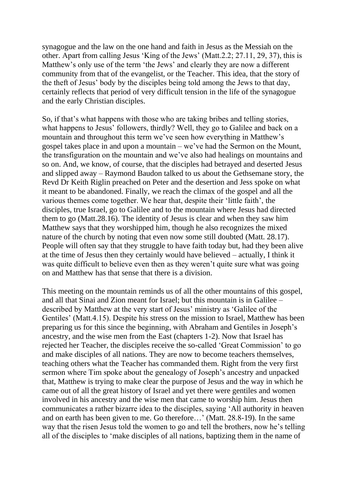synagogue and the law on the one hand and faith in Jesus as the Messiah on the other. Apart from calling Jesus 'King of the Jews' (Matt.2.2; 27.11, 29, 37), this is Matthew's only use of the term 'the Jews' and clearly they are now a different community from that of the evangelist, or the Teacher. This idea, that the story of the theft of Jesus' body by the disciples being told among the Jews to that day, certainly reflects that period of very difficult tension in the life of the synagogue and the early Christian disciples.

So, if that's what happens with those who are taking bribes and telling stories, what happens to Jesus' followers, thirdly? Well, they go to Galilee and back on a mountain and throughout this term we've seen how everything in Matthew's gospel takes place in and upon a mountain – we've had the Sermon on the Mount, the transfiguration on the mountain and we've also had healings on mountains and so on. And, we know, of course, that the disciples had betrayed and deserted Jesus and slipped away – Raymond Baudon talked to us about the Gethsemane story, the Revd Dr Keith Riglin preached on Peter and the desertion and Jess spoke on what it meant to be abandoned. Finally, we reach the climax of the gospel and all the various themes come together. We hear that, despite their 'little faith', the disciples, true Israel, go to Galilee and to the mountain where Jesus had directed them to go (Matt.28.16). The identity of Jesus is clear and when they saw him Matthew says that they worshipped him, though he also recognizes the mixed nature of the church by noting that even now some still doubted (Matt. 28.17). People will often say that they struggle to have faith today but, had they been alive at the time of Jesus then they certainly would have believed – actually, I think it was quite difficult to believe even then as they weren't quite sure what was going on and Matthew has that sense that there is a division.

This meeting on the mountain reminds us of all the other mountains of this gospel, and all that Sinai and Zion meant for Israel; but this mountain is in Galilee – described by Matthew at the very start of Jesus' ministry as 'Galilee of the Gentiles' (Matt.4.15). Despite his stress on the mission to Israel, Matthew has been preparing us for this since the beginning, with Abraham and Gentiles in Joseph's ancestry, and the wise men from the East (chapters 1-2). Now that Israel has rejected her Teacher, the disciples receive the so-called 'Great Commission' to go and make disciples of all nations. They are now to become teachers themselves, teaching others what the Teacher has commanded them. Right from the very first sermon where Tim spoke about the genealogy of Joseph's ancestry and unpacked that, Matthew is trying to make clear the purpose of Jesus and the way in which he came out of all the great history of Israel and yet there were gentiles and women involved in his ancestry and the wise men that came to worship him. Jesus then communicates a rather bizarre idea to the disciples, saying 'All authority in heaven and on earth has been given to me. Go therefore…' (Matt. 28.8-19). In the same way that the risen Jesus told the women to go and tell the brothers, now he's telling all of the disciples to 'make disciples of all nations, baptizing them in the name of